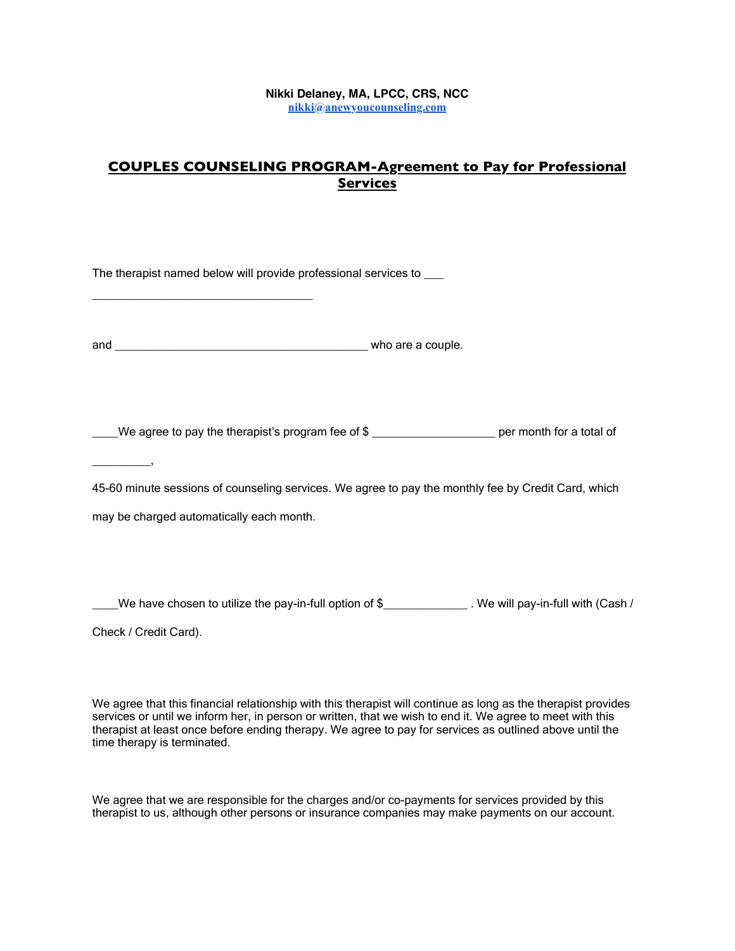## **Nikki Delaney, MA, LPCC, CRS, NCC [nikki@anewyoucounseling.com](mailto:nikki@anewyoucounseling.com)**

## **COUPLES COUNSELING PROGRAM-Agreement to Pay for Professional Services**

| The therapist named below will provide professional services to ____                                  |                                                                                                        |
|-------------------------------------------------------------------------------------------------------|--------------------------------------------------------------------------------------------------------|
|                                                                                                       |                                                                                                        |
| ____We agree to pay the therapist's program fee of \$ ______________________ per month for a total of |                                                                                                        |
| 45-60 minute sessions of counseling services. We agree to pay the monthly fee by Credit Card, which   |                                                                                                        |
| may be charged automatically each month.                                                              |                                                                                                        |
|                                                                                                       |                                                                                                        |
|                                                                                                       | We have chosen to utilize the pay-in-full option of \$______________. We will pay-in-full with (Cash / |
| Check / Credit Card).                                                                                 |                                                                                                        |

We agree that this financial relationship with this therapist will continue as long as the therapist provides services or until we inform her, in person or written, that we wish to end it. We agree to meet with this therapist at least once before ending therapy. We agree to pay for services as outlined above until the time therapy is terminated.

We agree that we are responsible for the charges and/or co-payments for services provided by this therapist to us, although other persons or insurance companies may make payments on our account.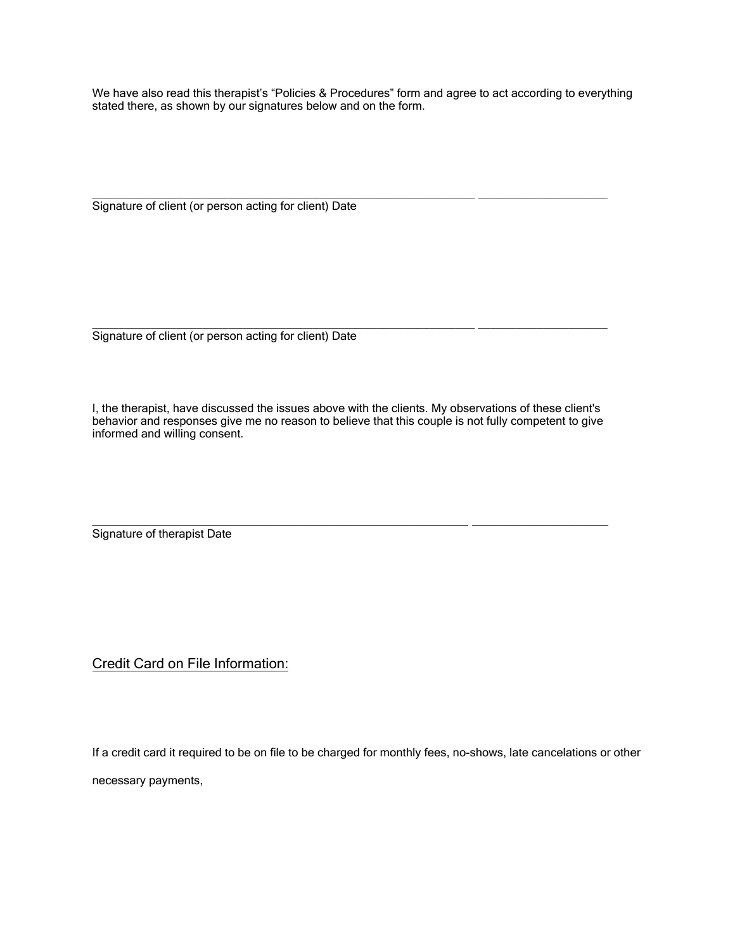We have also read this therapist's "Policies & Procedures" form and agree to act according to everything stated there, as shown by our signatures below and on the form.

 $\_$  ,  $\_$  ,  $\_$  ,  $\_$  ,  $\_$  ,  $\_$  ,  $\_$  ,  $\_$  ,  $\_$  ,  $\_$  ,  $\_$  ,  $\_$  ,  $\_$  ,  $\_$  ,  $\_$  ,  $\_$  ,  $\_$  ,  $\_$  ,  $\_$  ,  $\_$  ,  $\_$  ,  $\_$  ,  $\_$  ,  $\_$  ,  $\_$  ,  $\_$  ,  $\_$  ,  $\_$  ,  $\_$  ,  $\_$  ,  $\_$  ,  $\_$  ,  $\_$  ,  $\_$  ,  $\_$  ,  $\_$  ,  $\_$  , Signature of client (or person acting for client) Date

Signature of client (or person acting for client) Date

I, the therapist, have discussed the issues above with the clients. My observations of these client's behavior and responses give me no reason to believe that this couple is not fully competent to give informed and willing consent.

\_\_\_\_\_\_\_\_\_\_\_\_\_\_\_\_\_\_\_\_\_\_\_\_\_\_\_\_\_\_\_\_\_\_\_\_\_\_\_\_\_\_\_\_\_\_\_\_\_\_\_\_\_\_\_\_\_\_ \_\_\_\_\_\_\_\_\_\_\_\_\_\_\_\_\_\_\_\_\_

\_\_\_\_\_\_\_\_\_\_\_\_\_\_\_\_\_\_\_\_\_\_\_\_\_\_\_\_\_\_\_\_\_\_\_\_\_\_\_\_\_\_\_\_\_\_\_\_\_\_\_\_\_\_\_\_\_\_\_ \_\_\_\_\_\_\_\_\_\_\_\_\_\_\_\_\_\_\_\_

Signature of therapist Date

Credit Card on File Information:

If a credit card it required to be on file to be charged for monthly fees, no-shows, late cancelations or other

necessary payments,